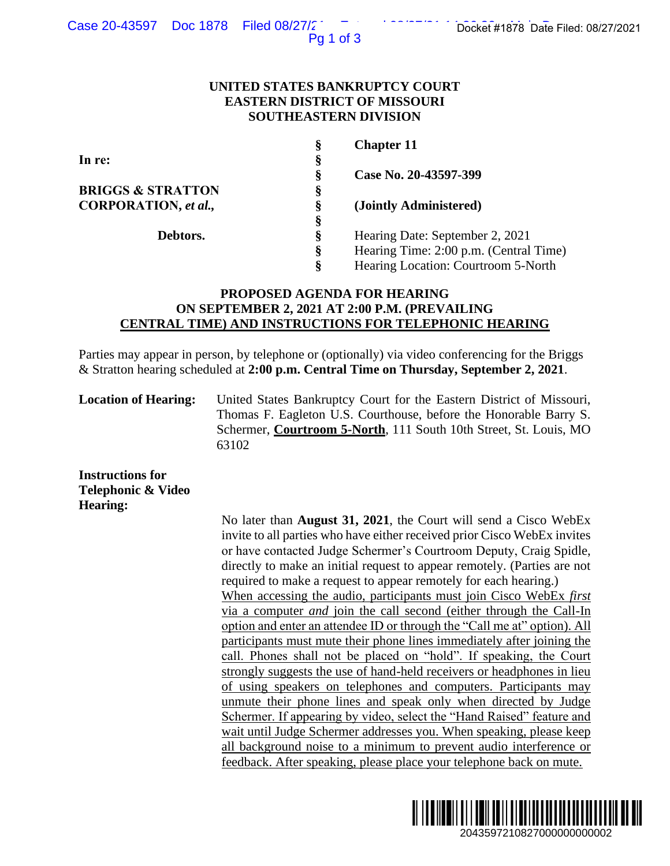Pg 1 of 3

### **UNITED STATES BANKRUPTCY COURT EASTERN DISTRICT OF MISSOURI SOUTHEASTERN DIVISION**

|                              | Ş | <b>Chapter 11</b>                      |
|------------------------------|---|----------------------------------------|
| In re:                       | § |                                        |
|                              | Ş | Case No. 20-43597-399                  |
| <b>BRIGGS &amp; STRATTON</b> | Ş |                                        |
| CORPORATION, et al.,         | Ş | (Jointly Administered)                 |
|                              | Ş |                                        |
| Debtors.                     | Ş | Hearing Date: September 2, 2021        |
|                              | ş | Hearing Time: 2:00 p.m. (Central Time) |
|                              | Ş | Hearing Location: Courtroom 5-North    |

# **PROPOSED AGENDA FOR HEARING ON SEPTEMBER 2, 2021 AT 2:00 P.M. (PREVAILING CENTRAL TIME) AND INSTRUCTIONS FOR TELEPHONIC HEARING**

Parties may appear in person, by telephone or (optionally) via video conferencing for the Briggs & Stratton hearing scheduled at **2:00 p.m. Central Time on Thursday, September 2, 2021**.

**Location of Hearing:** United States Bankruptcy Court for the Eastern District of Missouri, Thomas F. Eagleton U.S. Courthouse, before the Honorable Barry S. Schermer, **Courtroom 5-North**, 111 South 10th Street, St. Louis, MO 63102

**Instructions for Telephonic & Video Hearing:**

No later than **August 31, 2021**, the Court will send a Cisco WebEx invite to all parties who have either received prior Cisco WebEx invites or have contacted Judge Schermer's Courtroom Deputy, Craig Spidle, directly to make an initial request to appear remotely. (Parties are not required to make a request to appear remotely for each hearing.) When accessing the audio, participants must join Cisco WebEx *first*  via a computer *and* join the call second (either through the Call-In option and enter an attendee ID or through the "Call me at" option). All participants must mute their phone lines immediately after joining the call. Phones shall not be placed on "hold". If speaking, the Court strongly suggests the use of hand-held receivers or headphones in lieu of using speakers on telephones and computers. Participants may unmute their phone lines and speak only when directed by Judge Schermer. If appearing by video, select the "Hand Raised" feature and wait until Judge Schermer addresses you. When speaking, please keep all background noise to a minimum to prevent audio interference or feedback. After speaking, please place your telephone back on mute. 2043597210827/2021<br>
2043597210827<br>
2041<br>
2041<br>
2041<br>
2041<br>
2041<br>
2041<br>
2041<br>
2041<br>
2041<br>
2041<br>
2042<br>
2043<br>
2043<br>
2043<br>
2043<br>
2043<br>
2043<br>
2043<br>
2043<br>
2043<br>
2043<br>
2043<br>
2043<br>
2043<br>
2043<br>
2043<br>
2043<br>
2043<br>
2043<br>
2043<br>
2043<br>

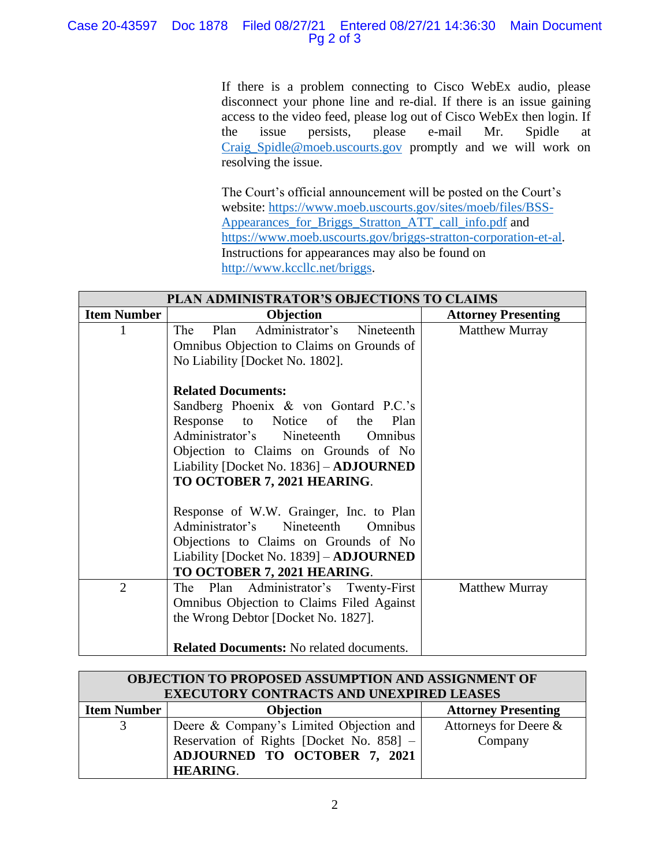# Case 20-43597 Doc 1878 Filed 08/27/21 Entered 08/27/21 14:36:30 Main Document Pg 2 of 3

If there is a problem connecting to Cisco WebEx audio, please disconnect your phone line and re-dial. If there is an issue gaining access to the video feed, please log out of Cisco WebEx then login. If the issue persists, please e-mail Mr. Spidle at [Craig\\_Spidle@moeb.uscourts.gov](mailto:Shontelle_McCoy@moeb.uscourts.gov) promptly and we will work on resolving the issue.

The Court's official announcement will be posted on the Court's website: [https://www.moeb.uscourts.gov/sites/moeb/files/BSS-](https://www.moeb.uscourts.gov/sites/moeb/files/BSS-Appearances_for_Briggs_Stratton_ATT_call_info.pdf)[Appearances\\_for\\_Briggs\\_Stratton\\_ATT\\_call\\_info.pdf](https://www.moeb.uscourts.gov/sites/moeb/files/BSS-Appearances_for_Briggs_Stratton_ATT_call_info.pdf) and [https://www.moeb.uscourts.gov/briggs-stratton-corporation-et-al.](https://www.moeb.uscourts.gov/briggs-stratton-corporation-et-al) Instructions for appearances may also be found on [http://www.kccllc.net/briggs.](http://www.kccllc.net/briggs)

| PLAN ADMINISTRATOR'S OBJECTIONS TO CLAIMS |                                                                                                                                                                                                                                                                             |                            |  |
|-------------------------------------------|-----------------------------------------------------------------------------------------------------------------------------------------------------------------------------------------------------------------------------------------------------------------------------|----------------------------|--|
| <b>Item Number</b>                        | Objection                                                                                                                                                                                                                                                                   | <b>Attorney Presenting</b> |  |
|                                           | Administrator's Nineteenth<br>The<br>Plan<br>Omnibus Objection to Claims on Grounds of<br>No Liability [Docket No. 1802].                                                                                                                                                   | <b>Matthew Murray</b>      |  |
|                                           | <b>Related Documents:</b><br>Sandberg Phoenix & von Gontard P.C.'s<br>Notice of<br>Response<br>the<br>Plan<br>to<br>Administrator's Nineteenth<br>Omnibus<br>Objection to Claims on Grounds of No<br>Liability [Docket No. 1836] - ADJOURNED<br>TO OCTOBER 7, 2021 HEARING. |                            |  |
|                                           | Response of W.W. Grainger, Inc. to Plan<br>Administrator's<br>Nineteenth<br>Omnibus<br>Objections to Claims on Grounds of No<br>Liability [Docket No. 1839] – <b>ADJOURNED</b><br>TO OCTOBER 7, 2021 HEARING.                                                               |                            |  |
| $\overline{2}$                            | The Plan Administrator's Twenty-First<br>Omnibus Objection to Claims Filed Against<br>the Wrong Debtor [Docket No. 1827].<br><b>Related Documents:</b> No related documents.                                                                                                | <b>Matthew Murray</b>      |  |

| OBJECTION TO PROPOSED ASSUMPTION AND ASSIGNMENT OF<br>EXECUTORY CONTRACTS AND UNEXPIRED LEASES |                                          |                            |  |
|------------------------------------------------------------------------------------------------|------------------------------------------|----------------------------|--|
| <b>Item Number</b>                                                                             | Objection                                | <b>Attorney Presenting</b> |  |
| 3                                                                                              | Deere & Company's Limited Objection and  | Attorneys for Deere &      |  |
|                                                                                                | Reservation of Rights [Docket No. 858] - | Company                    |  |
|                                                                                                | ADJOURNED TO OCTOBER 7, 2021             |                            |  |
|                                                                                                | <b>HEARING.</b>                          |                            |  |